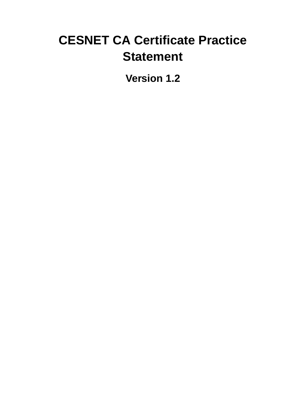# **CESNET CA Certificate Practice Statement**

**Version 1.2**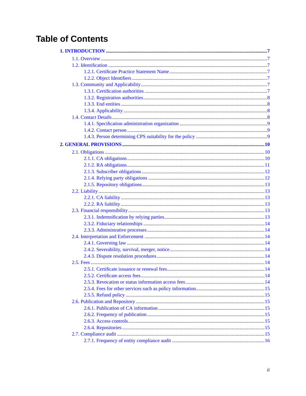## **Table of Contents**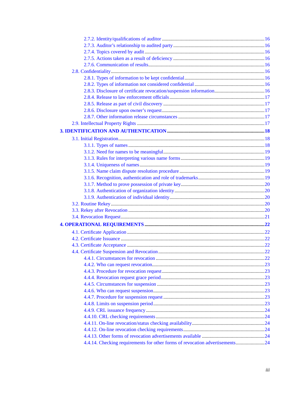| 4.4.14. Checking requirements for other forms of revocation advertisements24 |  |
|------------------------------------------------------------------------------|--|
|                                                                              |  |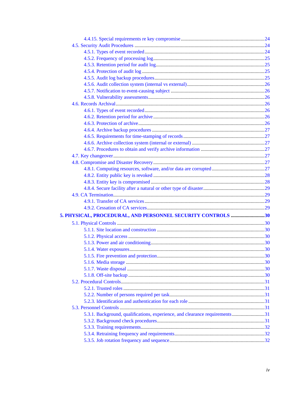| 5. PHYSICAL, PROCEDURAL, AND PERSONNEL SECURITY CONTROLS 30                 |  |
|-----------------------------------------------------------------------------|--|
|                                                                             |  |
|                                                                             |  |
|                                                                             |  |
|                                                                             |  |
|                                                                             |  |
|                                                                             |  |
|                                                                             |  |
|                                                                             |  |
|                                                                             |  |
|                                                                             |  |
|                                                                             |  |
|                                                                             |  |
|                                                                             |  |
|                                                                             |  |
| 5.3.1. Background, qualifications, experience, and clearance requirements31 |  |
|                                                                             |  |
|                                                                             |  |
|                                                                             |  |
|                                                                             |  |
|                                                                             |  |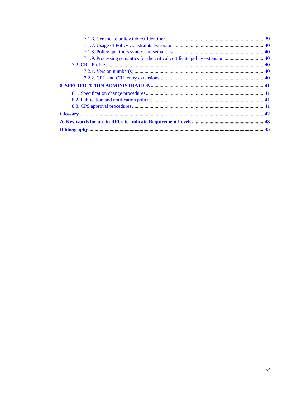| 7.1.9. Processing semantics for the critical certificate policy extension 40 |  |
|------------------------------------------------------------------------------|--|
|                                                                              |  |
|                                                                              |  |
|                                                                              |  |
|                                                                              |  |
|                                                                              |  |
|                                                                              |  |
|                                                                              |  |
|                                                                              |  |
|                                                                              |  |
|                                                                              |  |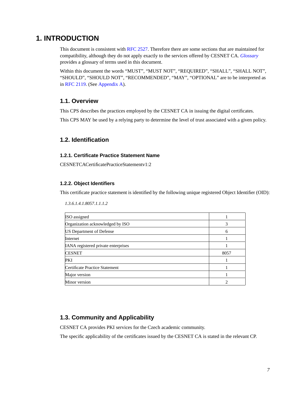### <span id="page-6-0"></span>**1. INTRODUCTION**

This document is consistent with [RFC 2527](#page-44-1). Therefore there are some sections that are maintained for compatibility, although they do not apply exactly to the services offered by CESNET CA. *[Glossary](#page-41-0)* provides a glossary of terms used in this document.

Within this document the words "MUST", "MUST NOT", "REQUIRED", "SHALL", "SHALL NOT", "SHOULD", "SHOULD NOT", "RECOMMENDED", "MAY", "OPTIONAL" are to be interpreted as in [RFC 2119](#page-44-2). (See [Appendix A](#page-42-0)).

### <span id="page-6-1"></span>**1.1. Overview**

This CPS describes the practices employed by the CESNET CA in issuing the digital certificates.

<span id="page-6-2"></span>This CPS MAY be used by a relying party to determine the level of trust associated with a given policy.

### <span id="page-6-3"></span>**1.2. Identification**

### **1.2.1. Certificate Practice Statement Name**

<span id="page-6-4"></span>CESNETCACertificatePracticeStatementv1:2

### **1.2.2. Object Identifiers**

*1.3.6.1.4.1.8057.1.1.1.2*

This certificate practice statement is identified by the following unique registered Object Identifier (OID):

| ISO assigned                        |      |
|-------------------------------------|------|
| Organization acknowledged by ISO    | 3    |
| <b>IUS</b> Department of Defense    | 6    |
| <b>Internet</b>                     |      |
| IANA registered private enterprises |      |
| <b>CESNET</b>                       | 8057 |
| <b>PKI</b>                          |      |
| Certificate Practice Statement      |      |
| Major version                       |      |
| Minor version                       | ∍    |

### <span id="page-6-5"></span>**1.3. Community and Applicability**

CESNET CA provides PKI services for the Czech academic community.

<span id="page-6-6"></span>The specific applicability of the certificates issued by the CESNET CA is stated in the relevant CP.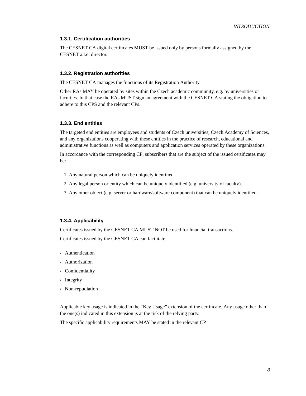### <span id="page-7-4"></span>**1.3.1. Certification authorities**

The CESNET CA digital certificates MUST be issued only by persons formally assigned by the CESNET a.l.e. director.

### <span id="page-7-0"></span>**1.3.2. Registration authorities**

The CESNET CA manages the functions of its Registration Authority.

Other RAs MAY be operated by sites within the Czech academic community, e.g. by universities or faculties. In that case the RAs MUST sign an agreement with the CESNET CA stating the obligation to adhere to this CPS and the relevant CPs.

### <span id="page-7-1"></span>**1.3.3. End entities**

The targeted end entities are employees and students of Czech universities, Czech Academy of Sciences, and any organizations cooperating with these entities in the practice of research, educational and administrative functions as well as computers and application services operated by these organizations.

In accordance with the corresponding CP, subscribers that are the subject of the issued certificates may be:

- 1. Any natural person which can be uniquely identified.
- 2. Any legal person or entity which can be uniquely identified (e.g. university of faculty).
- 3. Any other object (e.g. server or hardware/software component) that can be uniquely identified.

### <span id="page-7-2"></span>**1.3.4. Applicability**

Certificates issued by the CESNET CA MUST NOT be used for financial transactions. Certificates issued by the CESNET CA can facilitate:

- Authentication
- Authorization
- Confidentiality
- Integrity
- Non-repudiation

Applicable key usage is indicated in the "Key Usage" extension of the certificate. Any usage other than the one(s) indicated in this extension is at the risk of the relying party.

<span id="page-7-3"></span>The specific applicability requirements MAY be stated in the relevant CP.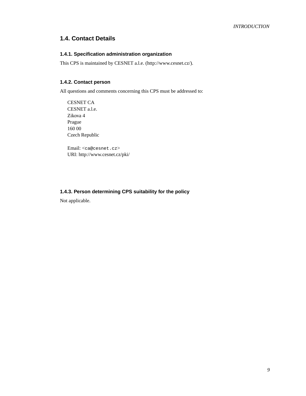### <span id="page-8-0"></span>**1.4. Contact Details**

### **1.4.1. Specification administration organization**

This CPS is maintained by CESNET a.l.e. (http://www.cesnet.cz/).

### **1.4.2. Contact person**

All questions and comments concerning this CPS must be addressed to:

CESNET CA CESNET a.l.e. Zikova 4 Prague 160 00 Czech Republic

Email: <ca@cesnet.cz> URI: http://www.cesnet.cz/pki/

### <span id="page-8-1"></span>**1.4.3. Person determining CPS suitability for the policy**

Not applicable.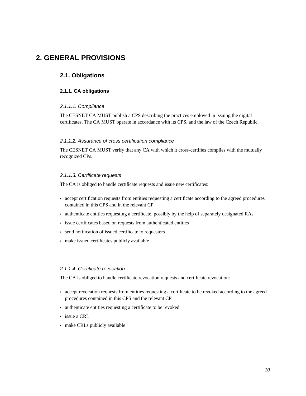## <span id="page-9-1"></span><span id="page-9-0"></span>**2. GENERAL PROVISIONS**

### <span id="page-9-2"></span>**2.1. Obligations**

### **2.1.1. CA obligations**

### 2.1.1.1. Compliance

The CESNET CA MUST publish a CPS describing the practices employed in issuing the digital certificates. The CA MUST operate in accordance with its CPS, and the law of the Czech Republic.

### 2.1.1.2. Assurance of cross certification compliance

The CESNET CA MUST verify that any CA with which it cross-certifies complies with the mutually recognized CPs.

#### 2.1.1.3. Certificate requests

The CA is obliged to handle certificate requests and issue new certificates:

- accept certification requests from entities requesting a certificate according to the agreed procedures contained in this CPS and in the relevant CP
- authenticate entities requesting a certificate, possibly by the help of separately designated RAs
- issue certificates based on requests from authenticated entities
- send notification of issued certificate to requesters
- make issued certificates publicly available

### 2.1.1.4. Certificate revocation

The CA is obliged to handle certificate revocation requests and certificate revocation:

- accept revocation requests from entities requesting a certificate to be revoked according to the agreed procedures contained in this CPS and the relevant CP
- authenticate entities requesting a certificate to be revoked
- issue a CRL
- make CRLs publicly available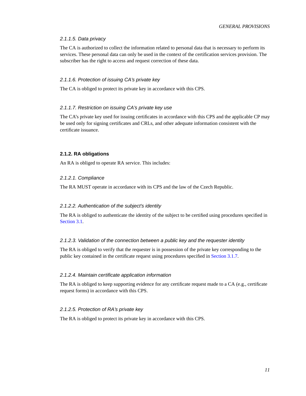### 2.1.1.5. Data privacy

The CA is authorized to collect the information related to personal data that is necessary to perform its services. These personal data can only be used in the context of the certification services provision. The subscriber has the right to access and request correction of these data.

### 2.1.1.6. Protection of issuing CA's private key

The CA is obliged to protect its private key in accordance with this CPS.

#### 2.1.1.7. Restriction on issuing CA's private key use

The CA's private key used for issuing certificates in accordance with this CPS and the applicable CP may be used only for signing certificates and CRLs, and other adequate information consistent with the certificate issuance.

### <span id="page-10-0"></span>**2.1.2. RA obligations**

An RA is obliged to operate RA service. This includes:

### 2.1.2.1. Compliance

The RA MUST operate in accordance with its CPS and the law of the Czech Republic.

#### 2.1.2.2. Authentication of the subject's identity

The RA is obliged to authenticate the identity of the subject to be certified using procedures specified in [Section 3.1](#page-17-1).

### 2.1.2.3. Validation of the connection between a public key and the requester identity

The RA is obliged to verify that the requester is in possession of the private key corresponding to the public key contained in the certificate request using procedures specified in [Section 3.1.7](#page-19-0).

### 2.1.2.4. Maintain certificate application information

The RA is obliged to keep supporting evidence for any certificate request made to a CA (e.g., certificate request forms) in accordance with this CPS.

### 2.1.2.5. Protection of RA's private key

The RA is obliged to protect its private key in accordance with this CPS.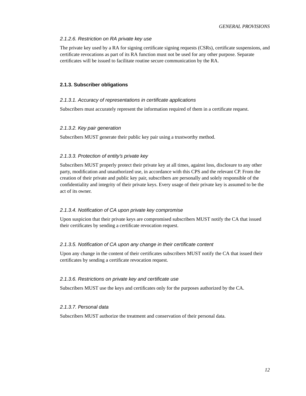### 2.1.2.6. Restriction on RA private key use

The private key used by a RA for signing certificate signing requests (CSRs), certificate suspensions, and certificate revocations as part of its RA function must not be used for any other purpose. Separate certificates will be issued to facilitate routine secure communication by the RA.

### <span id="page-11-0"></span>**2.1.3. Subscriber obligations**

#### 2.1.3.1. Accuracy of representations in certificate applications

Subscribers must accurately represent the information required of them in a certificate request.

#### 2.1.3.2. Key pair generation

Subscribers MUST generate their public key pair using a trustworthy method.

### 2.1.3.3. Protection of entity's private key

Subscribers MUST properly protect their private key at all times, against loss, disclosure to any other party, modification and unauthorized use, in accordance with this CPS and the relevant CP. From the creation of their private and public key pair, subscribers are personally and solely responsible of the confidentiality and integrity of their private keys. Every usage of their private key is assumed to be the act of its owner.

### 2.1.3.4. Notification of CA upon private key compromise

Upon suspicion that their private keys are compromised subscribers MUST notify the CA that issued their certificates by sending a certificate revocation request.

### 2.1.3.5. Notification of CA upon any change in their certificate content

Upon any change in the content of their certificates subscribers MUST notify the CA that issued their certificates by sending a certificate revocation request.

#### 2.1.3.6. Restrictions on private key and certificate use

Subscribers MUST use the keys and certificates only for the purposes authorized by the CA.

### 2.1.3.7. Personal data

<span id="page-11-1"></span>Subscribers MUST authorize the treatment and conservation of their personal data.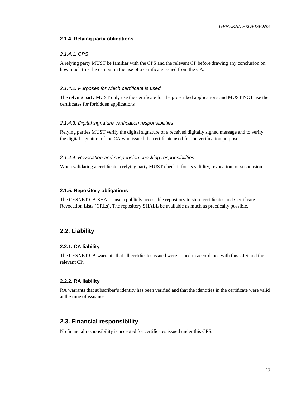### **2.1.4. Relying party obligations**

### 2.1.4.1. CPS

A relying party MUST be familiar with the CPS and the relevant CP before drawing any conclusion on how much trust he can put in the use of a certificate issued from the CA.

### 2.1.4.2. Purposes for which certificate is used

The relying party MUST only use the certificate for the proscribed applications and MUST NOT use the certificates for forbidden applications

#### 2.1.4.3. Digital signature verification responsibilities

Relying parties MUST verify the digital signature of a received digitally signed message and to verify the digital signature of the CA who issued the certificate used for the verification purpose.

### 2.1.4.4. Revocation and suspension checking responsibilities

When validating a certificate a relying party MUST check it for its validity, revocation, or suspension.

### <span id="page-12-0"></span>**2.1.5. Repository obligations**

The CESNET CA SHALL use a publicly accessible repository to store certificates and Certificate Revocation Lists (CRLs). The repository SHALL be available as much as practically possible.

### <span id="page-12-2"></span><span id="page-12-1"></span>**2.2. Liability**

#### **2.2.1. CA liability**

The CESNET CA warrants that all certificates issued were issued in accordance with this CPS and the relevant CP.

#### <span id="page-12-3"></span>**2.2.2. RA liability**

RA warrants that subscriber's identity has been verified and that the identities in the certificate were valid at the time of issuance.

### <span id="page-12-4"></span>**2.3. Financial responsibility**

<span id="page-12-5"></span>No financial responsibility is accepted for certificates issued under this CPS.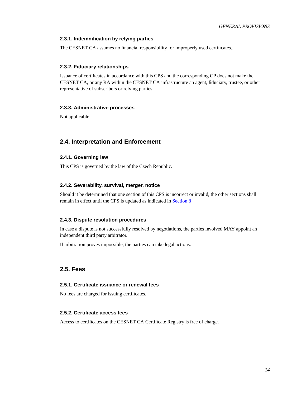### <span id="page-13-10"></span>**2.3.1. Indemnification by relying parties**

<span id="page-13-0"></span>The CESNET CA assumes no financial responsibility for improperly used certificates..

### **2.3.2. Fiduciary relationships**

Issuance of certificates in accordance with this CPS and the corresponding CP does not make the CESNET CA, or any RA within the CESNET CA infrastructure an agent, fiduciary, trustee, or other representative of subscribers or relying parties.

### <span id="page-13-1"></span>**2.3.3. Administrative processes**

Not applicable

### <span id="page-13-3"></span><span id="page-13-2"></span>**2.4. Interpretation and Enforcement**

### **2.4.1. Governing law**

<span id="page-13-4"></span>This CPS is governed by the law of the Czech Republic.

### **2.4.2. Severability, survival, merger, notice**

Should it be determined that one section of this CPS is incorrect or invalid, the other sections shall remain in effect until the CPS is updated as indicated in [Section 8](#page-40-0)

### <span id="page-13-5"></span>**2.4.3. Dispute resolution procedures**

In case a dispute is not successfully resolved by negotiations, the parties involved MAY appoint an independent third party arbitrator.

If arbitration proves impossible, the parties can take legal actions.

### <span id="page-13-7"></span><span id="page-13-6"></span>**2.5. Fees**

### **2.5.1. Certificate issuance or renewal fees**

<span id="page-13-8"></span>No fees are charged for issuing certificates.

### **2.5.2. Certificate access fees**

<span id="page-13-9"></span>Access to certificates on the CESNET CA Certificate Registry is free of charge.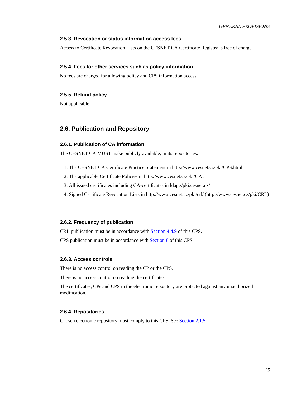### **2.5.3. Revocation or status information access fees**

Access to Certificate Revocation Lists on the CESNET CA Certificate Registry is free of charge.

### **2.5.4. Fees for other services such as policy information**

<span id="page-14-0"></span>No fees are charged for allowing policy and CPS information access.

### **2.5.5. Refund policy**

<span id="page-14-1"></span>Not applicable.

### <span id="page-14-2"></span>**2.6. Publication and Repository**

### **2.6.1. Publication of CA information**

The CESNET CA MUST make publicly available, in its repositories:

- 1. The CESNET CA Certificate Practice Statement in http://www.cesnet.cz/pki/CPS.html
- 2. The applicable Certificate Policies in http://www.cesnet.cz/pki/CP/.
- 3. All issued certificates including CA-certificates in ldap://pki.cesnet.cz/
- 4. Signed Certificate Revocation Lists in http://www.cesnet.cz/pki/crl/ (http://www.cesnet.cz/pki/CRL)

### <span id="page-14-3"></span>**2.6.2. Frequency of publication**

CRL publication must be in accordance with [Section 4.4.9](#page-23-0) of this CPS.

<span id="page-14-4"></span>CPS publication must be in accordance with [Section 8](#page-40-0) of this CPS.

### **2.6.3. Access controls**

There is no access control on reading the CP or the CPS.

There is no access control on reading the certificates.

<span id="page-14-5"></span>The certificates, CPs and CPS in the electronic repository are protected against any unauthorized modification.

### **2.6.4. Repositories**

<span id="page-14-6"></span>Chosen electronic repository must comply to this CPS. See [Section 2.1.5.](#page-12-0)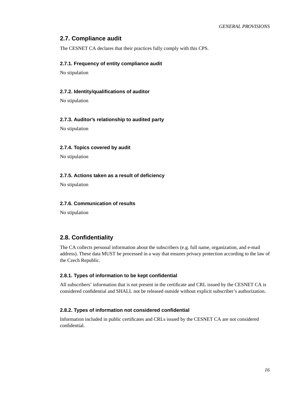### **2.7. Compliance audit**

<span id="page-15-0"></span>The CESNET CA declares that their practices fully comply with this CPS.

### **2.7.1. Frequency of entity compliance audit**

<span id="page-15-1"></span>No stipulation

### **2.7.2. Identity/qualifications of auditor**

<span id="page-15-2"></span>No stipulation

### **2.7.3. Auditor's relationship to audited party**

<span id="page-15-3"></span>No stipulation

### **2.7.4. Topics covered by audit**

<span id="page-15-4"></span>No stipulation

### **2.7.5. Actions taken as a result of deficiency**

<span id="page-15-5"></span>No stipulation

### **2.7.6. Communication of results**

No stipulation

### <span id="page-15-6"></span>**2.8. Confidentiality**

The CA collects personal information about the subscribers (e.g. full name, organization, and e-mail address). These data MUST be processed in a way that ensures privacy protection according to the law of the Czech Republic.

### <span id="page-15-7"></span>**2.8.1. Types of information to be kept confidential**

All subscribers' information that is not present in the certificate and CRL issued by the CESNET CA is considered confidential and SHALL not be released outside without explicit subscriber's authorization.

### <span id="page-15-8"></span>**2.8.2. Types of information not considered confidential**

<span id="page-15-9"></span>Information included in public certificates and CRLs issued by the CESNET CA are not considered confidential.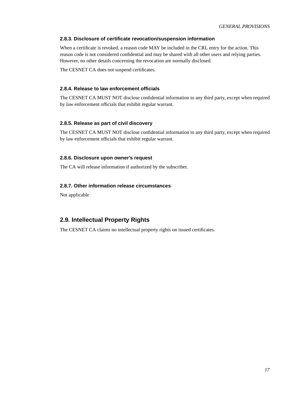### **2.8.3. Disclosure of certificate revocation/suspension information**

When a certificate is revoked, a reason code MAY be included in the CRL entry for the action. This reason code is not considered confidential and may be shared with all other users and relying parties. However, no other details concerning the revocation are normally disclosed.

<span id="page-16-0"></span>The CESNET CA does not suspend certificates.

### **2.8.4. Release to law enforcement officials**

The CESNET CA MUST NOT disclose confidential information to any third party, except when required by law enforcement officials that exhibit regular warrant.

### <span id="page-16-1"></span>**2.8.5. Release as part of civil discovery**

The CESNET CA MUST NOT disclose confidential information to any third party, except when required by law enforcement officials that exhibit regular warrant.

### <span id="page-16-2"></span>**2.8.6. Disclosure upon owner's request**

<span id="page-16-3"></span>The CA will release information if authorized by the subscriber.

### **2.8.7. Other information release circumstances**

Not applicable

### <span id="page-16-4"></span>**2.9. Intellectual Property Rights**

The CESNET CA claims no intellectual property rights on issued certificates.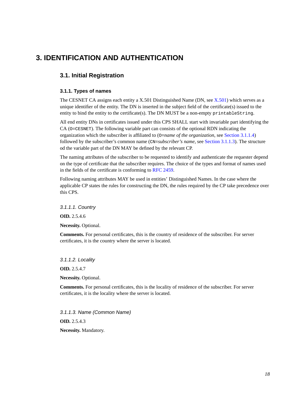## <span id="page-17-1"></span><span id="page-17-0"></span>**3. IDENTIFICATION AND AUTHENTICATION**

### <span id="page-17-2"></span>**3.1. Initial Registration**

### **3.1.1. Types of names**

The CESNET CA assigns each entity a X.501 Distinguished Name (DN, see [X.501\)](#page-44-3) which serves as a unique identifier of the entity. The DN is inserted in the subject field of the certificate(s) issued to the entity to bind the entity to the certificate(s). The DN MUST be a non-empty printableString.

All end entity DNs in certificates issued under this CPS SHALL start with invariable part identifying the CA (O=CESNET). The following variable part can consists of the optional RDN indicating the organization which the subscriber is affiliated to (O=*name of the organization*, see [Section 3.1.1.4](#page-17-3)) followed by the subscriber's common name (CN=*subscriber's name*, see [Section 3.1.1.3](#page-17-4)). The structure od the variable part of the DN MAY be defined by the relevant CP.

The naming attributes of the subscriber to be requested to identify and authenticate the requester depend on the type of certificate that the subscriber requires. The choice of the types and format of names used in the fields of the certificate is conforming to [RFC 2459](#page-44-4).

Following naming attributes MAY be used in entities' Distinguished Names. In the case where the applicable CP states the rules for constructing the DN, the rules required by the CP take precedence over this CPS.

3.1.1.1. Country

**OID.** 2.5.4.6

**Necessity.** Optional.

**Comments.** For personal certificates, this is the country of residence of the subscriber. For server certificates, it is the country where the server is located.

3.1.1.2. Locality **OID.** 2.5.4.7 **Necessity.** Optional.

**Comments.** For personal certificates, this is the locality of residence of the subscriber. For server certificates, it is the locality where the server is located.

<span id="page-17-4"></span><span id="page-17-3"></span>3.1.1.3. Name (Common Name) **OID.** 2.5.4.3 **Necessity.** Mandatory.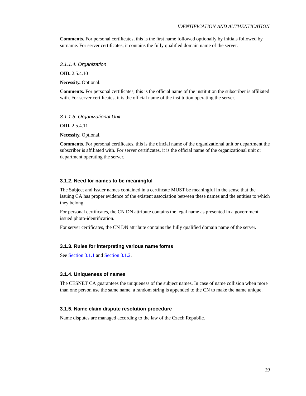**Comments.** For personal certificates, this is the first name followed optionally by initials followed by surname. For server certificates, it contains the fully qualified domain name of the server.

3.1.1.4. Organization

**OID.** 2.5.4.10

**Necessity.** Optional.

**Comments.** For personal certificates, this is the official name of the institution the subscriber is affiliated with. For server certificates, it is the official name of the institution operating the server.

3.1.1.5. Organizational Unit

**OID.** 2.5.4.11

**Necessity.** Optional.

**Comments.** For personal certificates, this is the official name of the organizational unit or department the subscriber is affiliated with. For server certificates, it is the official name of the organizational unit or department operating the server.

#### <span id="page-18-0"></span>**3.1.2. Need for names to be meaningful**

The Subject and Issuer names contained in a certificate MUST be meaningful in the sense that the issuing CA has proper evidence of the existent association between these names and the entities to which they belong.

For personal certificates, the CN DN attribute contains the legal name as presented in a government issued photo-identification.

<span id="page-18-1"></span>For server certificates, the CN DN attribute contains the fully qualified domain name of the server.

### **3.1.3. Rules for interpreting various name forms**

<span id="page-18-2"></span>See [Section 3.1.1](#page-17-2) and [Section 3.1.2](#page-18-0).

### **3.1.4. Uniqueness of names**

The CESNET CA guarantees the uniqueness of the subject names. In case of name collision when more than one person use the same name, a random string is appended to the CN to make the name unique.

#### <span id="page-18-3"></span>**3.1.5. Name claim dispute resolution procedure**

<span id="page-18-4"></span>Name disputes are managed according to the law of the Czech Republic.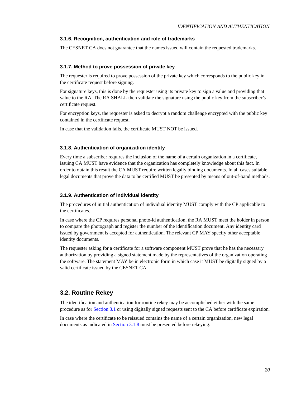### **3.1.6. Recognition, authentication and role of trademarks**

<span id="page-19-0"></span>The CESNET CA does not guarantee that the names issued will contain the requested trademarks.

### **3.1.7. Method to prove possession of private key**

The requester is required to prove possession of the private key which corresponds to the public key in the certificate request before signing.

For signature keys, this is done by the requester using its private key to sign a value and providing that value to the RA. The RA SHALL then validate the signature using the public key from the subscriber's certificate request.

For encryption keys, the requester is asked to decrypt a random challenge encrypted with the public key contained in the certificate request.

<span id="page-19-1"></span>In case that the validation fails, the certificate MUST NOT be issued.

### **3.1.8. Authentication of organization identity**

Every time a subscriber requires the inclusion of the name of a certain organization in a certificate, issuing CA MUST have evidence that the organization has completely knowledge about this fact. In order to obtain this result the CA MUST require written legally binding documents. In all cases suitable legal documents that prove the data to be certified MUST be presented by means of out-of-band methods.

#### <span id="page-19-2"></span>**3.1.9. Authentication of individual identity**

The procedures of initial authentication of individual identity MUST comply with the CP applicable to the certificates.

In case where the CP requires personal photo-id authentication, the RA MUST meet the holder in person to compare the photograph and register the number of the identification document. Any identity card issued by government is accepted for authentication. The relevant CP MAY specify other acceptable identity documents.

The requester asking for a certificate for a software component MUST prove that he has the necessary authorization by providing a signed statement made by the representatives of the organization operating the software. The statement MAY be in electronic form in which case it MUST be digitally signed by a valid certificate issued by the CESNET CA.

### <span id="page-19-3"></span>**3.2. Routine Rekey**

The identification and authentication for routine rekey may be accomplished either with the same procedure as for [Section 3.1](#page-17-1) or using digitally signed requests sent to the CA before certificate expiration.

<span id="page-19-4"></span>In case where the certificate to be reissued contains the name of a certain organization, new legal documents as indicated in [Section 3.1.8](#page-19-1) must be presented before rekeying.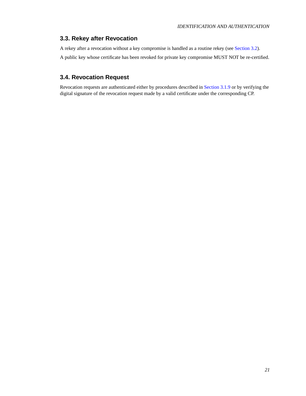### **3.3. Rekey after Revocation**

A rekey after a revocation without a key compromise is handled as a routine rekey (see [Section 3.2\)](#page-19-3). A public key whose certificate has been revoked for private key compromise MUST NOT be re-certified.

### <span id="page-20-0"></span>**3.4. Revocation Request**

Revocation requests are authenticated either by procedures described in [Section 3.1.9](#page-19-2) or by verifying the digital signature of the revocation request made by a valid certificate under the corresponding CP.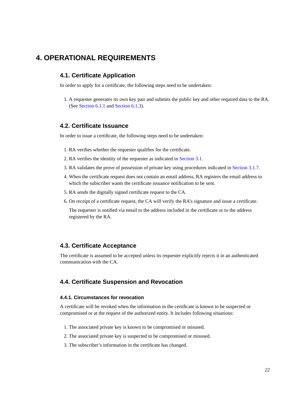## <span id="page-21-1"></span><span id="page-21-0"></span>**4. OPERATIONAL REQUIREMENTS**

### **4.1. Certificate Application**

In order to apply for a certificate, the following steps need to be undertaken:

1. A requester generates its own key pair and submits the public key and other required data to the RA. (See [Section 6.1.1](#page-32-2) and [Section 6.1.3\)](#page-32-4).

### <span id="page-21-2"></span>**4.2. Certificate Issuance**

In order to issue a certificate, the following steps need to be undertaken:

- 1. RA verifies whether the requester qualifies for the certificate.
- 2. RA verifies the identity of the requester as indicated in [Section 3.1](#page-17-1).
- 3. RA validates the prove of possession of private key using procedures indicated in [Section 3.1.7.](#page-19-0)
- 4. When the certificate request does not contain an email address, RA registers the email address to which the subscriber wants the certificate issuance notification to be sent.
- 5. RA sends the digitally signed certificate request to the CA.
- 6. On receipt of a certificate request, the CA will verify the RA's signature and issue a certificate.

The requester is notified via email to the address included in the certificate or to the address registered by the RA.

### <span id="page-21-3"></span>**4.3. Certificate Acceptance**

<span id="page-21-4"></span>The certificate is assumed to be accepted unless its requester explicitly rejects it in an authenticated communication with the CA.

### <span id="page-21-5"></span>**4.4. Certificate Suspension and Revocation**

### **4.4.1. Circumstances for revocation**

A certificate will be revoked when the information in the certificate is known to be suspected or compromised or at the request of the authorized entity. It includes following situations:

- 1. The associated private key is known to be compromised or misused.
- 2. The associated private key is suspected to be compromised or misused.
- 3. The subscriber's information in the certificate has changed.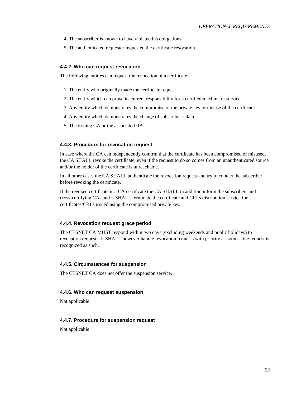- 4. The subscriber is known to have violated his obligations.
- 5. The authenticated requester requested the certificate revocation.

### <span id="page-22-0"></span>**4.4.2. Who can request revocation**

The following entities can request the revocation of a certificate:

- 1. The entity who originally made the certificate request.
- 2. The entity which can prove its current responsibility for a certified machine or service.
- 3. Any entity which demonstrates the compromise of the private key or misuse of the certificate.
- 4. Any entity which demonstrates the change of subscriber's data.
- 5. The issuing CA or the associated RA.

### <span id="page-22-1"></span>**4.4.3. Procedure for revocation request**

In case where the CA can independently confirm that the certificate has been compromised or misused, the CA SHALL revoke the certificate, even if the request to do so comes from an unauthenticated source and/or the holder of the certificate is unreachable.

In all other cases the CA SHALL authenticate the revocation request and try to contact the subscriber before revoking the certificate.

If the revoked certificate is a CA certificate the CA SHALL in addition inform the subscribers and cross-certifying CAs and it SHALL terminate the certificate and CRLs distribution service for certificates/CRLs issued using the compromised private key.

### <span id="page-22-2"></span>**4.4.4. Revocation request grace period**

The CESNET CA MUST respond within two days (excluding weekends and public holidays) to revocation requests. It SHALL however handle revocation requests with priority as soon as the request is recognized as such.

### <span id="page-22-3"></span>**4.4.5. Circumstances for suspension**

<span id="page-22-4"></span>The CESNET CA does not offer the suspension service.

### **4.4.6. Who can request suspension**

<span id="page-22-5"></span>Not applicable

### **4.4.7. Procedure for suspension request**

<span id="page-22-6"></span>Not applicable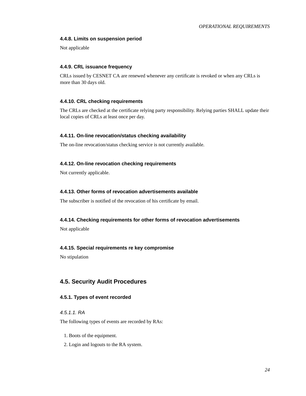### **4.4.8. Limits on suspension period**

<span id="page-23-0"></span>Not applicable

### **4.4.9. CRL issuance frequency**

CRLs issued by CESNET CA are renewed whenever any certificate is revoked or when any CRLs is more than 30 days old.

### <span id="page-23-1"></span>**4.4.10. CRL checking requirements**

The CRLs are checked at the certificate relying party responsibility. Relying parties SHALL update their local copies of CRLs at least once per day.

### <span id="page-23-2"></span>**4.4.11. On-line revocation/status checking availability**

<span id="page-23-3"></span>The on-line revocation/status checking service is not currently available.

### **4.4.12. On-line revocation checking requirements**

<span id="page-23-4"></span>Not currently applicable.

### **4.4.13. Other forms of revocation advertisements available**

<span id="page-23-5"></span>The subscriber is notified of the revocation of his certificate by email.

### **4.4.14. Checking requirements for other forms of revocation advertisements**

<span id="page-23-6"></span>Not applicable

### **4.4.15. Special requirements re key compromise**

No stipulation

### <span id="page-23-8"></span><span id="page-23-7"></span>**4.5. Security Audit Procedures**

### **4.5.1. Types of event recorded**

### 4.5.1.1. RA

The following types of events are recorded by RAs:

- 1. Boots of the equipment.
- 2. Login and logouts to the RA system.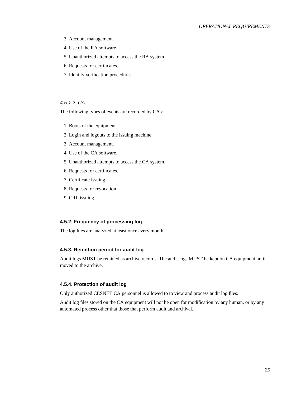- 3. Account management.
- 4. Use of the RA software.
- 5. Unauthorized attempts to access the RA system.
- 6. Requests for certificates.
- 7. Identity verification procedures.

### 4.5.1.2. CA

The following types of events are recorded by CAs:

- 1. Boots of the equipment.
- 2. Login and logouts to the issuing machine.
- 3. Account management.
- 4. Use of the CA software.
- 5. Unauthorized attempts to access the CA system.
- 6. Requests for certificates.
- 7. Certificate issuing.
- 8. Requests for revocation.
- 9. CRL issuing.

### <span id="page-24-0"></span>**4.5.2. Frequency of processing log**

<span id="page-24-1"></span>The log files are analyzed at least once every month.

### **4.5.3. Retention period for audit log**

Audit logs MUST be retained as archive records. The audit logs MUST be kept on CA equipment until moved to the archive.

#### <span id="page-24-2"></span>**4.5.4. Protection of audit log**

Only authorized CESNET CA personnel is allowed to to view and process audit log files.

<span id="page-24-3"></span>Audit log files stored on the CA equipment will not be open for modification by any human, or by any automated process other that those that perform audit and archival.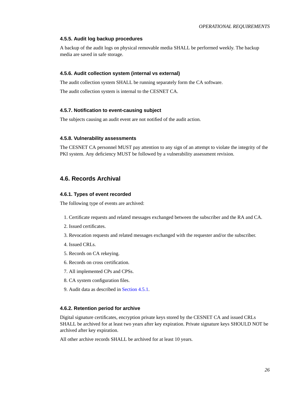### **4.5.5. Audit log backup procedures**

A backup of the audit logs on physical removable media SHALL be performed weekly. The backup media are saved in safe storage.

### <span id="page-25-0"></span>**4.5.6. Audit collection system (internal vs external)**

The audit collection system SHALL be running separately form the CA software.

<span id="page-25-1"></span>The audit collection system is internal to the CESNET CA.

### **4.5.7. Notification to event-causing subject**

<span id="page-25-2"></span>The subjects causing an audit event are not notified of the audit action.

### **4.5.8. Vulnerability assessments**

The CESNET CA personnel MUST pay attention to any sign of an attempt to violate the integrity of the PKI system. Any deficiency MUST be followed by a vulnerability assessment revision.

### <span id="page-25-4"></span><span id="page-25-3"></span>**4.6. Records Archival**

#### **4.6.1. Types of event recorded**

The following type of events are archived:

- 1. Certificate requests and related messages exchanged between the subscriber and the RA and CA.
- 2. Issued certificates.
- 3. Revocation requests and related messages exchanged with the requester and/or the subscriber.
- 4. Issued CRLs.
- 5. Records on CA rekeying.
- 6. Records on cross certification.
- 7. All implemented CPs and CPSs.
- 8. CA system configuration files.
- 9. Audit data as described in [Section 4.5.1.](#page-23-8)

### <span id="page-25-5"></span>**4.6.2. Retention period for archive**

Digital signature certificates, encryption private keys stored by the CESNET CA and issued CRLs SHALL be archived for at least two years after key expiration. Private signature keys SHOULD NOT be archived after key expiration.

<span id="page-25-6"></span>All other archive records SHALL be archived for at least 10 years.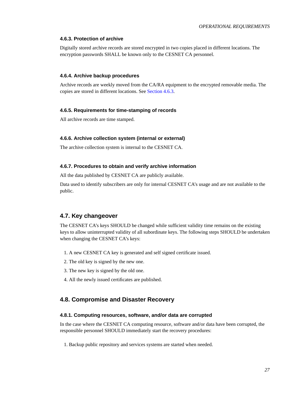### **4.6.3. Protection of archive**

Digitally stored archive records are stored encrypted in two copies placed in different locations. The encryption passwords SHALL be known only to the CESNET CA personnel.

### <span id="page-26-0"></span>**4.6.4. Archive backup procedures**

Archive records are weekly moved from the CA/RA equipment to the encrypted removable media. The copies are stored in different locations. See [Section 4.6.3.](#page-25-6)

### <span id="page-26-1"></span>**4.6.5. Requirements for time-stamping of records**

<span id="page-26-2"></span>All archive records are time stamped.

#### **4.6.6. Archive collection system (internal or external)**

<span id="page-26-3"></span>The archive collection system is internal to the CESNET CA.

### **4.6.7. Procedures to obtain and verify archive information**

All the data published by CESNET CA are publicly available.

Data used to identify subscribers are only for internal CESNET CA's usage and are not available to the public.

### <span id="page-26-4"></span>**4.7. Key changeover**

The CESNET CA's keys SHOULD be changed while sufficient validity time remains on the existing keys to allow uninterrupted validity of all subordinate keys. The following steps SHOULD be undertaken when changing the CESNET CA's keys:

- 1. A new CESNET CA key is generated and self signed certificate issued.
- 2. The old key is signed by the new one.
- 3. The new key is signed by the old one.
- 4. All the newly issued certificates are published.

### <span id="page-26-6"></span><span id="page-26-5"></span>**4.8. Compromise and Disaster Recovery**

### **4.8.1. Computing resources, software, and/or data are corrupted**

In the case where the CESNET CA computing resource, software and/or data have been corrupted, the responsible personnel SHOULD immediately start the recovery procedures:

1. Backup public repository and services systems are started when needed.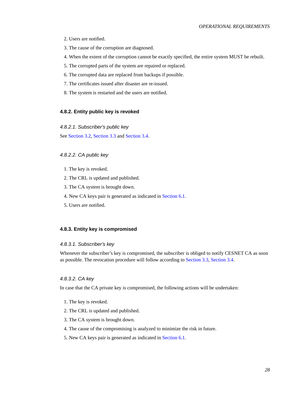- 2. Users are notified.
- 3. The cause of the corruption are diagnosed.
- 4. When the extent of the corruption cannot be exactly specified, the entire system MUST be rebuilt.
- 5. The corrupted parts of the system are repaired or replaced.
- 6. The corrupted data are replaced from backups if possible.
- 7. The certificates issued after disaster are re-issued.
- 8. The system is restarted and the users are notified.

### <span id="page-27-0"></span>**4.8.2. Entity public key is revoked**

4.8.2.1. Subscriber's public key

See [Section 3.2](#page-19-3), [Section 3.3](#page-19-4) and [Section 3.4](#page-20-0).

### 4.8.2.2. CA public key

- 1. The key is revoked.
- 2. The CRL is updated and published.
- 3. The CA system is brought down.
- 4. New CA keys pair is generated as indicated in [Section 6.1.](#page-32-1)
- 5. Users are notified.

### <span id="page-27-1"></span>**4.8.3. Entity key is compromised**

#### 4.8.3.1. Subscriber's key

Whenever the subscriber's key is compromised, the subscriber is obliged to notify CESNET CA as soon as possible. The revocation procedure will follow according to [Section 3.3](#page-19-4), [Section 3.4](#page-20-0).

#### 4.8.3.2. CA key

In case that the CA private key is compromised, the following actions will be undertaken:

- 1. The key is revoked.
- 2. The CRL is updated and published.
- 3. The CA system is brought down.
- 4. The cause of the compromising is analyzed to minimize the risk in future.
- 5. New CA keys pair is generated as indicated in [Section 6.1.](#page-32-1)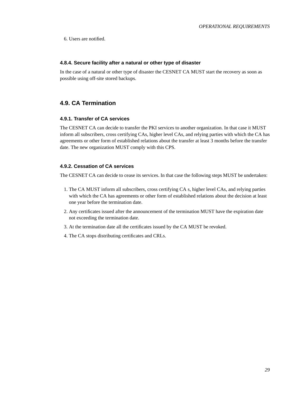6. Users are notified.

### <span id="page-28-0"></span>**4.8.4. Secure facility after a natural or other type of disaster**

In the case of a natural or other type of disaster the CESNET CA MUST start the recovery as soon as possible using off-site stored backups.

### <span id="page-28-2"></span><span id="page-28-1"></span>**4.9. CA Termination**

#### **4.9.1. Transfer of CA services**

The CESNET CA can decide to transfer the PKI services to another organization. In that case it MUST inform all subscribers, cross certifying CAs, higher level CAs, and relying parties with which the CA has agreements or other form of established relations about the transfer at least 3 months before the transfer date. The new organization MUST comply with this CPS.

### <span id="page-28-3"></span>**4.9.2. Cessation of CA services**

The CESNET CA can decide to cease its services. In that case the following steps MUST be undertaken:

- 1. The CA MUST inform all subscribers, cross certifying CA s, higher level CAs, and relying parties with which the CA has agreements or other form of established relations about the decision at least one year before the termination date.
- 2. Any certificates issued after the announcement of the termination MUST have the expiration date not exceeding the termination date.
- 3. At the termination date all the certificates issued by the CA MUST be revoked.
- 4. The CA stops distributing certificates and CRLs.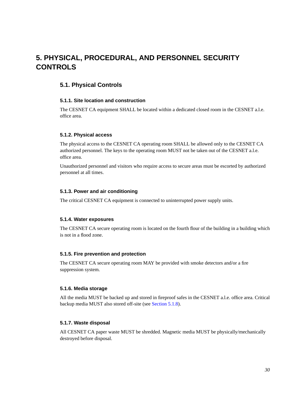## <span id="page-29-1"></span><span id="page-29-0"></span>**5. PHYSICAL, PROCEDURAL, AND PERSONNEL SECURITY CONTROLS**

### <span id="page-29-2"></span>**5.1. Physical Controls**

### **5.1.1. Site location and construction**

The CESNET CA equipment SHALL be located within a dedicated closed room in the CESNET a.l.e. office area.

### <span id="page-29-3"></span>**5.1.2. Physical access**

The physical access to the CESNET CA operating room SHALL be allowed only to the CESNET CA authorized personnel. The keys to the operating room MUST not be taken out of the CESNET a.l.e. office area.

Unauthorized personnel and visitors who require access to secure areas must be escorted by authorized personnel at all times.

### <span id="page-29-4"></span>**5.1.3. Power and air conditioning**

<span id="page-29-5"></span>The critical CESNET CA equipment is connected to uninterrupted power supply units.

### **5.1.4. Water exposures**

The CESNET CA secure operating room is located on the fourth flour of the building in a building which is not in a flood zone.

#### <span id="page-29-6"></span>**5.1.5. Fire prevention and protection**

The CESNET CA secure operating room MAY be provided with smoke detectors and/or a fire suppression system.

### <span id="page-29-7"></span>**5.1.6. Media storage**

All the media MUST be backed up and stored in fireproof safes in the CESNET a.l.e. office area. Critical backup media MUST also stored off-site (see [Section 5.1.8](#page-29-9)).

### <span id="page-29-8"></span>**5.1.7. Waste disposal**

<span id="page-29-9"></span>All CESNET CA paper waste MUST be shredded. Magnetic media MUST be physically/mechanically destroyed before disposal.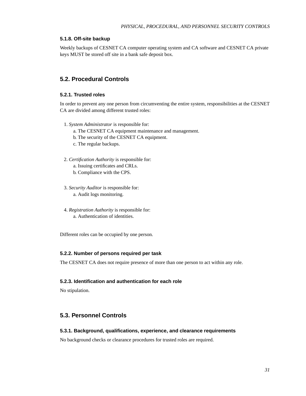### **5.1.8. Off-site backup**

Weekly backups of CESNET CA computer operating system and CA software and CESNET CA private keys MUST be stored off site in a bank safe deposit box.

### <span id="page-30-1"></span><span id="page-30-0"></span>**5.2. Procedural Controls**

### **5.2.1. Trusted roles**

In order to prevent any one person from circumventing the entire system, responsibilities at the CESNET CA are divided among different trusted roles:

- 1. *System Administrator* is responsible for:
	- a. The CESNET CA equipment maintenance and management.
	- b. The security of the CESNET CA equipment.
	- c. The regular backups.
- 2. *Certification Authority* is responsible for:
	- a. Issuing certificates and CRLs.
	- b. Compliance with the CPS.
- 3. *Security Auditor* is responsible for: a. Audit logs monitoring.
- 4. *Registration Authority* is responsible for: a. Authentication of identities.

<span id="page-30-2"></span>Different roles can be occupied by one person.

### **5.2.2. Number of persons required per task**

<span id="page-30-3"></span>The CESNET CA does not require presence of more than one person to act within any role.

#### **5.2.3. Identification and authentication for each role**

No stipulation.

### <span id="page-30-5"></span><span id="page-30-4"></span>**5.3. Personnel Controls**

#### **5.3.1. Background, qualifications, experience, and clearance requirements**

<span id="page-30-6"></span>No background checks or clearance procedures for trusted roles are required.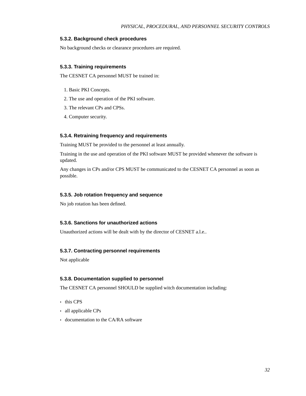### **5.3.2. Background check procedures**

<span id="page-31-0"></span>No background checks or clearance procedures are required.

### **5.3.3. Training requirements**

The CESNET CA personnel MUST be trained in:

- 1. Basic PKI Concepts.
- 2. The use and operation of the PKI software.
- 3. The relevant CPs and CPSs.
- 4. Computer security.

### <span id="page-31-1"></span>**5.3.4. Retraining frequency and requirements**

Training MUST be provided to the personnel at least annually.

Training in the use and operation of the PKI software MUST be provided whenever the software is updated.

Any changes in CPs and/or CPS MUST be communicated to the CESNET CA personnel as soon as possible.

### <span id="page-31-2"></span>**5.3.5. Job rotation frequency and sequence**

<span id="page-31-3"></span>No job rotation has been defined.

### **5.3.6. Sanctions for unauthorized actions**

<span id="page-31-4"></span>Unauthorized actions will be dealt with by the director of CESNET a.l.e..

### **5.3.7. Contracting personnel requirements**

<span id="page-31-5"></span>Not applicable

### **5.3.8. Documentation supplied to personnel**

The CESNET CA personnel SHOULD be supplied witch documentation including:

- this CPS
- all applicable CPs
- documentation to the CA/RA software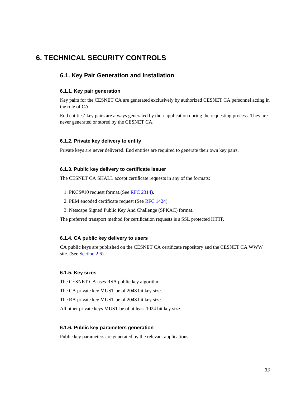## <span id="page-32-1"></span><span id="page-32-0"></span>**6. TECHNICAL SECURITY CONTROLS**

### <span id="page-32-2"></span>**6.1. Key Pair Generation and Installation**

### **6.1.1. Key pair generation**

Key pairs for the CESNET CA are generated exclusively by authorized CESNET CA personnel acting in the role of CA.

End entities' key pairs are always generated by their application during the requesting process. They are never generated or stored by the CESNET CA.

### <span id="page-32-3"></span>**6.1.2. Private key delivery to entity**

<span id="page-32-4"></span>Private keys are never delivered. End entities are required to generate their own key pairs.

#### **6.1.3. Public key delivery to certificate issuer**

The CESNET CA SHALL accept certificate requests in any of the formats:

- 1. PKCS#10 request format.(See [RFC 2314\)](#page-44-5).
- 2. PEM encoded certificate request (See [RFC 1424\)](#page-44-6).
- 3. Netscape Signed Public Key And Challenge (SPKAC) format.

<span id="page-32-5"></span>The preferred transport method for certification requests is s SSL protected HTTP.

### **6.1.4. CA public key delivery to users**

CA public keys are published on the CESNET CA certificate repository and the CESNET CA WWW site. (See [Section 2.6](#page-14-1)).

### <span id="page-32-6"></span>**6.1.5. Key sizes**

The CESNET CA uses RSA public key algorithm.

The CA private key MUST be of 2048 bit key size.

The RA private key MUST be of 2048 bit key size.

<span id="page-32-7"></span>All other private keys MUST be of at least 1024 bit key size.

### **6.1.6. Public key parameters generation**

<span id="page-32-8"></span>Public key parameters are generated by the relevant applications.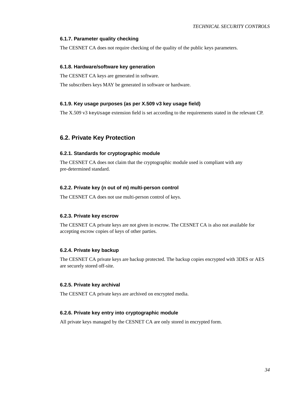### **6.1.7. Parameter quality checking**

<span id="page-33-0"></span>The CESNET CA does not require checking of the quality of the public keys parameters.

### **6.1.8. Hardware/software key generation**

The CESNET CA keys are generated in software.

<span id="page-33-1"></span>The subscribers keys MAY be generated in software or hardware.

### **6.1.9. Key usage purposes (as per X.509 v3 key usage field)**

The X.509 v3 keyUsage extension field is set according to the requirements stated in the relevant CP.

### <span id="page-33-3"></span><span id="page-33-2"></span>**6.2. Private Key Protection**

### **6.2.1. Standards for cryptographic module**

The CESNET CA does not claim that the cryptographic module used is compliant with any pre-determined standard.

#### <span id="page-33-4"></span>**6.2.2. Private key (n out of m) multi-person control**

<span id="page-33-5"></span>The CESNET CA does not use multi-person control of keys.

### **6.2.3. Private key escrow**

The CESNET CA private keys are not given in escrow. The CESNET CA is also not available for accepting escrow copies of keys of other parties.

### <span id="page-33-6"></span>**6.2.4. Private key backup**

The CESNET CA private keys are backup protected. The backup copies encrypted with 3DES or AES are securely stored off-site.

#### <span id="page-33-7"></span>**6.2.5. Private key archival**

<span id="page-33-8"></span>The CESNET CA private keys are archived on encrypted media.

### **6.2.6. Private key entry into cryptographic module**

<span id="page-33-9"></span>All private keys managed by the CESNET CA are only stored in encrypted form.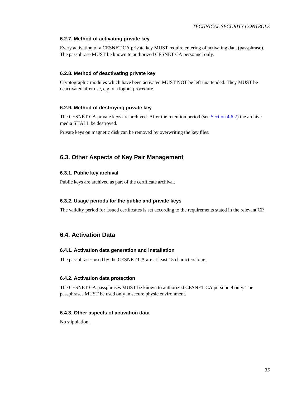### **6.2.7. Method of activating private key**

Every activation of a CESNET CA private key MUST require entering of activating data (passphrase). The passphrase MUST be known to authorized CESNET CA personnel only.

### <span id="page-34-0"></span>**6.2.8. Method of deactivating private key**

Cryptographic modules which have been activated MUST NOT be left unattended. They MUST be deactivated after use, e.g. via logout procedure.

### <span id="page-34-1"></span>**6.2.9. Method of destroying private key**

The CESNET CA private keys are archived. After the retention period (see [Section 4.6.2\)](#page-25-5) the archive media SHALL be destroyed.

Private keys on magnetic disk can be removed by overwriting the key files.

### <span id="page-34-3"></span><span id="page-34-2"></span>**6.3. Other Aspects of Key Pair Management**

### **6.3.1. Public key archival**

<span id="page-34-4"></span>Public keys are archived as part of the certificate archival.

### **6.3.2. Usage periods for the public and private keys**

The validity period for issued certificates is set according to the requirements stated in the relevant CP.

### <span id="page-34-6"></span><span id="page-34-5"></span>**6.4. Activation Data**

### **6.4.1. Activation data generation and installation**

<span id="page-34-7"></span>The passphrases used by the CESNET CA are at least 15 characters long.

#### **6.4.2. Activation data protection**

The CESNET CA passphrases MUST be known to authorized CESNET CA personnel only. The passphrases MUST be used only in secure physic environment.

### <span id="page-34-8"></span>**6.4.3. Other aspects of activation data**

<span id="page-34-9"></span>No stipulation.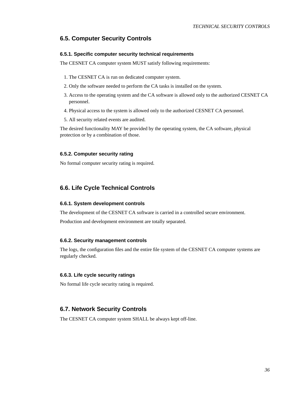### <span id="page-35-0"></span>**6.5. Computer Security Controls**

### **6.5.1. Specific computer security technical requirements**

The CESNET CA computer system MUST satisfy following requirements:

- 1. The CESNET CA is run on dedicated computer system.
- 2. Only the software needed to perform the CA tasks is installed on the system.
- 3. Access to the operating system and the CA software is allowed only to the authorized CESNET CA personnel.
- 4. Physical access to the system is allowed only to the authorized CESNET CA personnel.
- 5. All security related events are audited.

The desired functionality MAY be provided by the operating system, the CA software, physical protection or by a combination of those.

### <span id="page-35-1"></span>**6.5.2. Computer security rating**

No formal computer security rating is required.

### <span id="page-35-3"></span><span id="page-35-2"></span>**6.6. Life Cycle Technical Controls**

#### **6.6.1. System development controls**

The development of the CESNET CA software is carried in a controlled secure environment.

<span id="page-35-4"></span>Production and development environment are totally separated.

### **6.6.2. Security management controls**

The logs, the configuration files and the entire file system of the CESNET CA computer systems are regularly checked.

### <span id="page-35-5"></span>**6.6.3. Life cycle security ratings**

No formal life cycle security rating is required.

### <span id="page-35-6"></span>**6.7. Network Security Controls**

<span id="page-35-7"></span>The CESNET CA computer system SHALL be always kept off-line.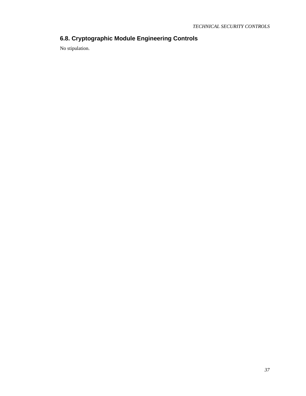## **6.8. Cryptographic Module Engineering Controls**

No stipulation.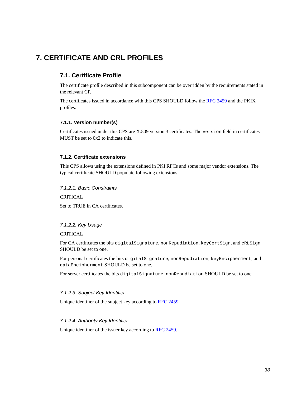## <span id="page-37-1"></span><span id="page-37-0"></span>**7. CERTIFICATE AND CRL PROFILES**

### **7.1. Certificate Profile**

The certificate profile described in this subcomponent can be overridden by the requirements stated in the relevant CP.

The certificates issued in accordance with this CPS SHOULD follow the [RFC 2459](#page-44-4) and the PKIX profiles.

### <span id="page-37-2"></span>**7.1.1. Version number(s)**

Certificates issued under this CPS are X.509 version 3 certificates. The version field in certificates MUST be set to 0x2 to indicate this.

### <span id="page-37-3"></span>**7.1.2. Certificate extensions**

This CPS allows using the extensions defined in PKI RFCs and some major vendor extensions. The typical certificate SHOULD populate following extensions:

7.1.2.1. Basic Constraints

**CRITICAL** 

Set to TRUE in CA certificates.

### 7.1.2.2. Key Usage

CRITICAL

For CA certificates the bits digitalSignature, nonRepudiation, keyCertSign, and cRLSign SHOULD be set to one.

For personal certificates the bits digitalSignature, nonRepudiation, keyEncipherment, and dataEncipherment SHOULD be set to one.

For server certificates the bits digitalSignature, nonRepudiation SHOULD be set to one.

#### 7.1.2.3. Subject Key Identifier

Unique identifier of the subject key according to [RFC 2459.](#page-44-4)

### 7.1.2.4. Authority Key Identifier

Unique identifier of the issuer key according to [RFC 2459.](#page-44-4)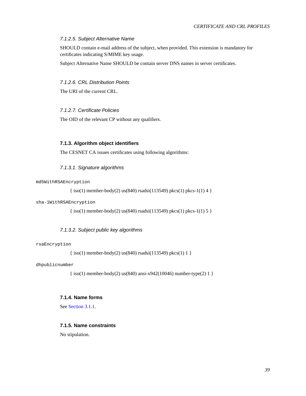### 7.1.2.5. Subject Alternative Name

SHOULD contain e-mail address of the subject, when provided. This extension is mandatory for certificates indicating S/MIME key usage.

Subject Alternative Name SHOULD be contain server DNS names in server certificates.

### 7.1.2.6. CRL Distribution Points

The URI of the current CRL.

### 7.1.2.7. Certificate Policies

The OID of the relevant CP without any qualifiers.

### <span id="page-38-0"></span>**7.1.3. Algorithm object identifiers**

The CESNET CA issues certificates using following algorithms:

### 7.1.3.1. Signature algorithms

#### md5WithRSAEncryption

 $\{ \text{iso}(1) \text{ member-body}(2) \text{ us}(840) \text{ rsadsi}(113549) \text{ pkc}(1) \text{ pkc}-1(1) \text{ 4} \}$ 

sha-1WithRSAEncryption

{ iso(1) member-body(2) us(840) rsadsi(113549) pkcs(1) pkcs-1(1) 5 }

### 7.1.3.2. Subject public key algorithms

#### rsaEncryption

{ iso(1) member-body(2) us(840) rsadsi(113549) pkcs(1) 1 }

#### <span id="page-38-1"></span>dhpublicnumber

{ iso(1) member-body(2) us(840) ansi-x942(10046) number-type(2) 1 }

### **7.1.4. Name forms**

<span id="page-38-2"></span>See [Section 3.1.1.](#page-17-2)

### **7.1.5. Name constraints**

<span id="page-38-3"></span>No stipulation.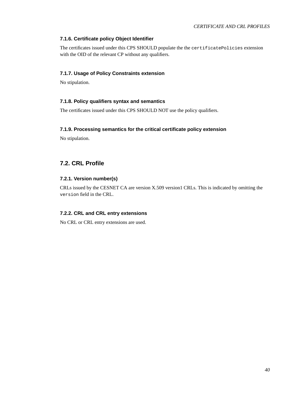### **7.1.6. Certificate policy Object Identifier**

The certificates issued under this CPS SHOULD populate the the certificatePolicies extension with the OID of the relevant CP without any qualifiers.

### <span id="page-39-0"></span>**7.1.7. Usage of Policy Constraints extension**

<span id="page-39-1"></span>No stipulation.

### **7.1.8. Policy qualifiers syntax and semantics**

<span id="page-39-2"></span>The certificates issued under this CPS SHOULD NOT use the policy qualifiers.

### **7.1.9. Processing semantics for the critical certificate policy extension**

No stipulation.

### <span id="page-39-4"></span><span id="page-39-3"></span>**7.2. CRL Profile**

### **7.2.1. Version number(s)**

CRLs issued by the CESNET CA are version X.509 version1 CRLs. This is indicated by omitting the version field in the CRL.

### <span id="page-39-5"></span>**7.2.2. CRL and CRL entry extensions**

No CRL or CRL entry extensions are used.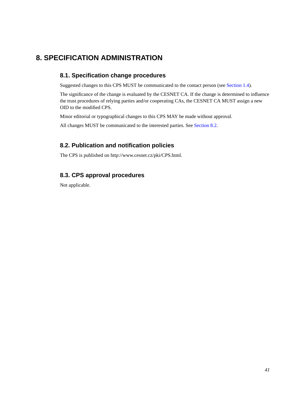## <span id="page-40-1"></span><span id="page-40-0"></span>**8. SPECIFICATION ADMINISTRATION**

### **8.1. Specification change procedures**

Suggested changes to this CPS MUST be communicated to the contact person (see [Section 1.4\)](#page-7-3).

The significance of the change is evaluated by the CESNET CA. If the change is determined to influence the trust procedures of relying parties and/or cooperating CAs, the CESNET CA MUST assign a new OID to the modified CPS.

Minor editorial or typographical changes to this CPS MAY be made without approval.

<span id="page-40-2"></span>All changes MUST be communicated to the interested parties. See [Section 8.2.](#page-40-2)

### **8.2. Publication and notification policies**

<span id="page-40-3"></span>The CPS is published on http://www.cesnet.cz/pki/CPS.html.

### **8.3. CPS approval procedures**

Not applicable.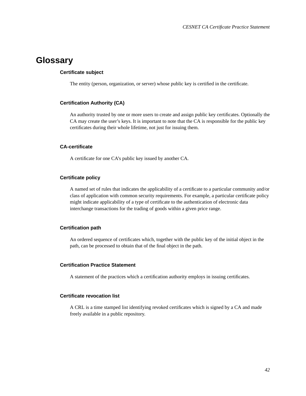## <span id="page-41-0"></span>**Glossary**

### **Certificate subject**

The entity (person, organization, or server) whose public key is certified in the certificate.

### **Certification Authority (CA)**

An authority trusted by one or more users to create and assign public key certificates. Optionally the CA may create the user's keys. It is important to note that the CA is responsible for the public key certificates during their whole lifetime, not just for issuing them.

### **CA-certificate**

A certificate for one CA's public key issued by another CA.

### **Certificate policy**

A named set of rules that indicates the applicability of a certificate to a particular community and/or class of application with common security requirements. For example, a particular certificate policy might indicate applicability of a type of certificate to the authentication of electronic data interchange transactions for the trading of goods within a given price range.

### **Certification path**

An ordered sequence of certificates which, together with the public key of the initial object in the path, can be processed to obtain that of the final object in the path.

### **Certification Practice Statement**

A statement of the practices which a certification authority employs in issuing certificates.

#### **Certificate revocation list**

A CRL is a time stamped list identifying revoked certificates which is signed by a CA and made freely available in a public repository.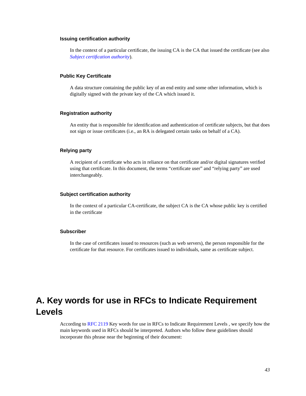### **Issuing certification authority**

In the context of a particular certificate, the issuing CA is the CA that issued the certificate (see also *[Subject certification authority](#page-42-1)*).

### **Public Key Certificate**

A data structure containing the public key of an end entity and some other information, which is digitally signed with the private key of the CA which issued it.

### **Registration authority**

An entity that is responsible for identification and authentication of certificate subjects, but that does not sign or issue certificates (i.e., an RA is delegated certain tasks on behalf of a CA).

### **Relying party**

A recipient of a certificate who acts in reliance on that certificate and/or digital signatures verified using that certificate. In this document, the terms "certificate user" and "relying party" are used interchangeably.

#### <span id="page-42-1"></span>**Subject certification authority**

In the context of a particular CA-certificate, the subject CA is the CA whose public key is certified in the certificate

### **Subscriber**

In the case of certificates issued to resources (such as web servers), the person responsible for the certificate for that resource. For certificates issued to individuals, same as certificate subject.

## <span id="page-42-0"></span>**A. Key words for use in RFCs to Indicate Requirement Levels**

According to [RFC 2119](#page-44-2) Key words for use in RFCs to Indicate Requirement Levels , we specify how the main keywords used in RFCs should be interpreted. Authors who follow these guidelines should incorporate this phrase near the beginning of their document: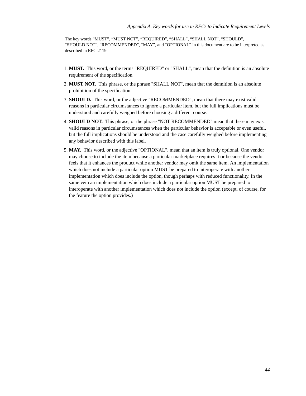The key words "MUST", "MUST NOT", "REQUIRED", "SHALL", "SHALL NOT", "SHOULD", "SHOULD NOT", "RECOMMENDED", "MAY", and "OPTIONAL" in this document are to be interpreted as described in RFC 2119.

- 1. **MUST.** This word, or the terms "REQUIRED" or "SHALL", mean that the definition is an absolute requirement of the specification.
- 2. **MUST NOT.** This phrase, or the phrase "SHALL NOT", mean that the definition is an absolute prohibition of the specification.
- 3. **SHOULD.** This word, or the adjective "RECOMMENDED", mean that there may exist valid reasons in particular circumstances to ignore a particular item, but the full implications must be understood and carefully weighed before choosing a different course.
- 4. **SHOULD NOT.** This phrase, or the phrase "NOT RECOMMENDED" mean that there may exist valid reasons in particular circumstances when the particular behavior is acceptable or even useful, but the full implications should be understood and the case carefully weighed before implementing any behavior described with this label.
- 5. **MAY.** This word, or the adjective "OPTIONAL", mean that an item is truly optional. One vendor may choose to include the item because a particular marketplace requires it or because the vendor feels that it enhances the product while another vendor may omit the same item. An implementation which does not include a particular option MUST be prepared to interoperate with another implementation which does include the option, though perhaps with reduced functionality. In the same vein an implementation which does include a particular option MUST be prepared to interoperate with another implementation which does not include the option (except, of course, for the feature the option provides.)